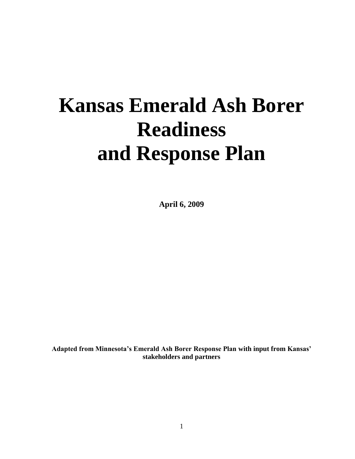# **Kansas Emerald Ash Borer Readiness and Response Plan**

**April 6, 2009**

**Adapted from Minnesota's Emerald Ash Borer Response Plan with input from Kansas' stakeholders and partners**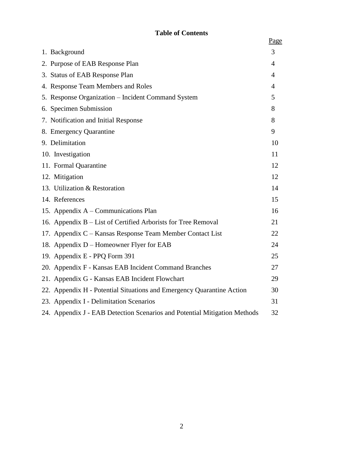# **Table of Contents**

|                                                                           | Page           |
|---------------------------------------------------------------------------|----------------|
| 1. Background                                                             | 3              |
| 2. Purpose of EAB Response Plan                                           | 4              |
| 3. Status of EAB Response Plan                                            | $\overline{4}$ |
| 4. Response Team Members and Roles                                        | $\overline{4}$ |
| 5. Response Organization - Incident Command System                        | 5              |
| 6. Specimen Submission                                                    | 8              |
| 7. Notification and Initial Response                                      | 8              |
| 8. Emergency Quarantine                                                   | 9              |
| 9. Delimitation                                                           | 10             |
| 10. Investigation                                                         | 11             |
| 11. Formal Quarantine                                                     | 12             |
| 12. Mitigation                                                            | 12             |
| 13. Utilization & Restoration                                             | 14             |
| 14. References                                                            | 15             |
| 15. Appendix A – Communications Plan                                      | 16             |
| 16. Appendix B – List of Certified Arborists for Tree Removal             | 21             |
| 17. Appendix C – Kansas Response Team Member Contact List                 | 22             |
| 18. Appendix D – Homeowner Flyer for EAB                                  | 24             |
| 19. Appendix E - PPQ Form 391                                             | 25             |
| 20. Appendix F - Kansas EAB Incident Command Branches                     | 27             |
| 21. Appendix G - Kansas EAB Incident Flowchart                            | 29             |
| 22. Appendix H - Potential Situations and Emergency Quarantine Action     | 30             |
| 23. Appendix I - Delimitation Scenarios                                   | 31             |
| 24. Appendix J - EAB Detection Scenarios and Potential Mitigation Methods | 32             |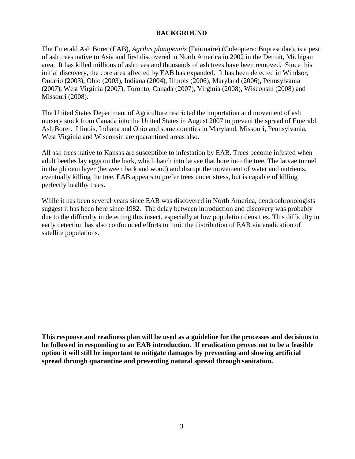## **BACKGROUND**

The Emerald Ash Borer (EAB), *Agrilus planipennis* (Fairmaire) (Coleoptera: Buprestidae), is a pest of ash trees native to Asia and first discovered in North America in 2002 in the Detroit, Michigan area. It has killed millions of ash trees and thousands of ash trees have been removed. Since this initial discovery, the core area affected by EAB has expanded. It has been detected in Windsor, Ontario (2003), Ohio (2003), Indiana (2004), Illinois (2006), Maryland (2006), Pennsylvania (2007), West Virginia (2007), Toronto, Canada (2007), Virginia (2008), Wisconsin (2008) and Missouri (2008).

The United States Department of Agriculture restricted the importation and movement of ash nursery stock from Canada into the United States in August 2007 to prevent the spread of Emerald Ash Borer. Illinois, Indiana and Ohio and some counties in Maryland, Missouri, Pennsylvania, West Virginia and Wisconsin are quarantined areas also.

All ash trees native to Kansas are susceptible to infestation by EAB. Trees become infested when adult beetles lay eggs on the bark, which hatch into larvae that bore into the tree. The larvae tunnel in the phloem layer (between bark and wood) and disrupt the movement of water and nutrients, eventually killing the tree. EAB appears to prefer trees under stress, but is capable of killing perfectly healthy trees.

While it has been several years since EAB was discovered in North America, dendrochronologists suggest it has been here since 1982. The delay between introduction and discovery was probably due to the difficulty in detecting this insect, especially at low population densities. This difficulty in early detection has also confounded efforts to limit the distribution of EAB via eradication of satellite populations.

**This response and readiness plan will be used as a guideline for the processes and decisions to be followed in responding to an EAB introduction. If eradication proves not to be a feasible option it will still be important to mitigate damages by preventing and slowing artificial spread through quarantine and preventing natural spread through sanitation.**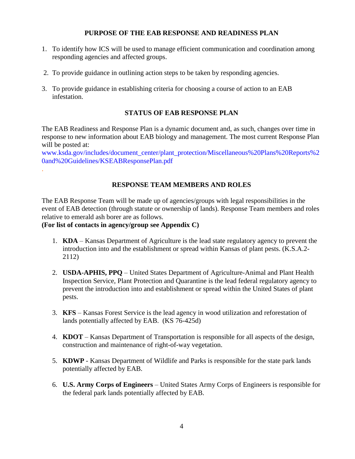## **PURPOSE OF THE EAB RESPONSE AND READINESS PLAN**

- 1. To identify how ICS will be used to manage efficient communication and coordination among responding agencies and affected groups.
- 2. To provide guidance in outlining action steps to be taken by responding agencies.
- 3. To provide guidance in establishing criteria for choosing a course of action to an EAB infestation.

## **STATUS OF EAB RESPONSE PLAN**

The EAB Readiness and Response Plan is a dynamic document and, as such, changes over time in response to new information about EAB biology and management. The most current Response Plan will be posted at:

[www.ksda.gov/includes/document\\_center/plant\\_protection/Miscellaneous%20Plans%20Reports%2](http://www.ksda.gov/includes/document_center/plant_protection/Miscellaneous%20Plans%20Reports%20and%20Guidelines/KSEABResponsePlan.pdf) [0and%20Guidelines/KSEABResponsePlan.pdf](http://www.ksda.gov/includes/document_center/plant_protection/Miscellaneous%20Plans%20Reports%20and%20Guidelines/KSEABResponsePlan.pdf)

## **RESPONSE TEAM MEMBERS AND ROLES**

The EAB Response Team will be made up of agencies/groups with legal responsibilities in the event of EAB detection (through statute or ownership of lands). Response Team members and roles relative to emerald ash borer are as follows.

## **(For list of contacts in agency/group see Appendix C)**

.

- 1. **KDA** Kansas Department of Agriculture is the lead state regulatory agency to prevent the introduction into and the establishment or spread within Kansas of plant pests. (K.S.A.2- 2112)
- 2. **USDA-APHIS, PPQ** United States Department of Agriculture-Animal and Plant Health Inspection Service, Plant Protection and Quarantine is the lead federal regulatory agency to prevent the introduction into and establishment or spread within the United States of plant pests.
- 3. **KFS** Kansas Forest Service is the lead agency in wood utilization and reforestation of lands potentially affected by EAB. (KS 76-425d)
- 4. **KDOT**  Kansas Department of Transportation is responsible for all aspects of the design, construction and maintenance of right-of-way vegetation.
- 5. **KDWP** Kansas Department of Wildlife and Parks is responsible for the state park lands potentially affected by EAB.
- 6. **U.S. Army Corps of Engineers** United States Army Corps of Engineers is responsible for the federal park lands potentially affected by EAB.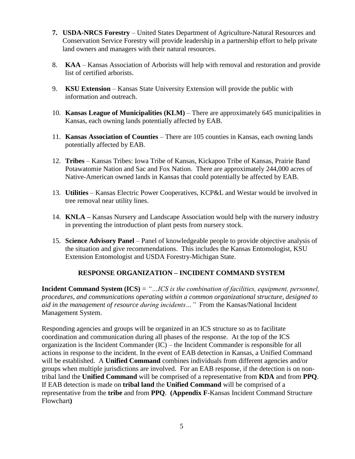- **7. USDA-NRCS Forestry** United States Department of Agriculture-Natural Resources and Conservation Service Forestry will provide leadership in a partnership effort to help private land owners and managers with their natural resources.
- 8. **KAA** Kansas Association of Arborists will help with removal and restoration and provide list of certified arborists.
- 9. **KSU Extension** Kansas State University Extension will provide the public with information and outreach.
- 10. **Kansas League of Municipalities (KLM)** There are approximately 645 municipalities in Kansas, each owning lands potentially affected by EAB.
- 11. **Kansas Association of Counties** There are 105 counties in Kansas, each owning lands potentially affected by EAB.
- 12. **Tribes** Kansas Tribes: Iowa Tribe of Kansas, Kickapoo Tribe of Kansas, Prairie Band Potawatomie Nation and Sac and Fox Nation. There are approximately 244,000 acres of Native-American owned lands in Kansas that could potentially be affected by EAB.
- 13. **Utilities** Kansas Electric Power Cooperatives, KCP&L and Westar would be involved in tree removal near utility lines.
- 14. **KNLA –** Kansas Nursery and Landscape Association would help with the nursery industry in preventing the introduction of plant pests from nursery stock.
- 15. **Science Advisory Panel** Panel of knowledgeable people to provide objective analysis of the situation and give recommendations. This includes the Kansas Entomologist, KSU Extension Entomologist and USDA Forestry-Michigan State.

# **RESPONSE ORGANIZATION – INCIDENT COMMAND SYSTEM**

**Incident Command System (ICS)** = *"…ICS is the combination of facilities, equipment, personnel, procedures, and communications operating within a common organizational structure, designed to aid in the management of resource during incidents…"* From the Kansas/National Incident Management System.

Responding agencies and groups will be organized in an ICS structure so as to facilitate coordination and communication during all phases of the response. At the top of the ICS organization is the Incident Commander (IC) – the Incident Commander is responsible for all actions in response to the incident. In the event of EAB detection in Kansas, a Unified Command will be established. A **Unified Command** combines individuals from different agencies and/or groups when multiple jurisdictions are involved. For an EAB response, if the detection is on nontribal land the **Unified Command** will be comprised of a representative from **KDA** and from **PPQ**. If EAB detection is made on **tribal land** the **Unified Command** will be comprised of a representative from the **tribe** and from **PPQ**. **(Appendix F-**Kansas Incident Command Structure Flowchart**)**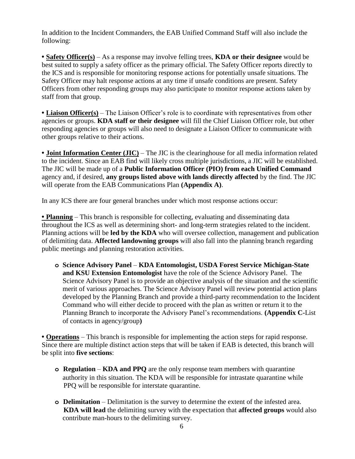In addition to the Incident Commanders, the EAB Unified Command Staff will also include the following:

**• Safety Officer(s)** – As a response may involve felling trees, **KDA or their designee** would be best suited to supply a safety officer as the primary official. The Safety Officer reports directly to the ICS and is responsible for monitoring response actions for potentially unsafe situations. The Safety Officer may halt response actions at any time if unsafe conditions are present. Safety Officers from other responding groups may also participate to monitor response actions taken by staff from that group.

• **Liaison Officer(s)** – The Liaison Officer's role is to coordinate with representatives from other agencies or groups. **KDA staff or their designee** will fill the Chief Liaison Officer role, but other responding agencies or groups will also need to designate a Liaison Officer to communicate with other groups relative to their actions.

**• Joint Information Center (JIC)** – The JIC is the clearinghouse for all media information related to the incident. Since an EAB find will likely cross multiple jurisdictions, a JIC will be established. The JIC will be made up of a **Public Information Officer (PIO) from each Unified Command** agency and, if desired, **any groups listed above with lands directly affected** by the find. The JIC will operate from the EAB Communications Plan **(Appendix A)**.

In any ICS there are four general branches under which most response actions occur:

• **Planning** – This branch is responsible for collecting, evaluating and disseminating data throughout the ICS as well as determining short- and long-term strategies related to the incident. Planning actions will be **led by the KDA** who will oversee collection, management and publication of delimiting data. **Affected landowning groups** will also fall into the planning branch regarding public meetings and planning restoration activities.

**o Science Advisory Panel** – **KDA Entomologist, USDA Forest Service Michigan-State and KSU Extension Entomologist** have the role of the Science Advisory Panel. The Science Advisory Panel is to provide an objective analysis of the situation and the scientific merit of various approaches. The Science Advisory Panel will review potential action plans developed by the Planning Branch and provide a third-party recommendation to the Incident Command who will either decide to proceed with the plan as written or return it to the Planning Branch to incorporate the Advisory Panel's recommendations. **(Appendix C-**List of contacts in agency/group**)**

**• Operations** – This branch is responsible for implementing the action steps for rapid response. Since there are multiple distinct action steps that will be taken if EAB is detected, this branch will be split into **five sections**:

- **o Regulation KDA and PPQ** are the only response team members with quarantine authority in this situation. The KDA will be responsible for intrastate quarantine while PPQ will be responsible for interstate quarantine.
- **o Delimitation** Delimitation is the survey to determine the extent of the infested area. **KDA will lead** the delimiting survey with the expectation that **affected groups** would also contribute man-hours to the delimiting survey.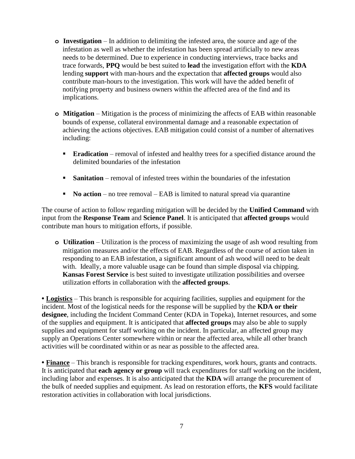- **o Investigation**  In addition to delimiting the infested area, the source and age of the infestation as well as whether the infestation has been spread artificially to new areas needs to be determined. Due to experience in conducting interviews, trace backs and trace forwards, **PPQ** would be best suited to **lead** the investigation effort with the **KDA**  lending **support** with man-hours and the expectation that **affected groups** would also contribute man-hours to the investigation. This work will have the added benefit of notifying property and business owners within the affected area of the find and its implications.
- **o Mitigation** Mitigation is the process of minimizing the affects of EAB within reasonable bounds of expense, collateral environmental damage and a reasonable expectation of achieving the actions objectives. EAB mitigation could consist of a number of alternatives including:
	- **Eradication** removal of infested and healthy trees for a specified distance around the delimited boundaries of the infestation
	- **Sanitation** removal of infested trees within the boundaries of the infestation
	- **No action** no tree removal EAB is limited to natural spread via quarantine

The course of action to follow regarding mitigation will be decided by the **Unified Command** with input from the **Response Team** and **Science Panel**. It is anticipated that **affected groups** would contribute man hours to mitigation efforts, if possible.

**o Utilization** – Utilization is the process of maximizing the usage of ash wood resulting from mitigation measures and/or the effects of EAB. Regardless of the course of action taken in responding to an EAB infestation, a significant amount of ash wood will need to be dealt with. Ideally, a more valuable usage can be found than simple disposal via chipping. **Kansas Forest Service** is best suited to investigate utilization possibilities and oversee utilization efforts in collaboration with the **affected groups**.

• **Logistics** – This branch is responsible for acquiring facilities, supplies and equipment for the incident. Most of the logistical needs for the response will be supplied by the **KDA or their designee**, including the Incident Command Center (KDA in Topeka), Internet resources, and some of the supplies and equipment. It is anticipated that **affected groups** may also be able to supply supplies and equipment for staff working on the incident. In particular, an affected group may supply an Operations Center somewhere within or near the affected area, while all other branch activities will be coordinated within or as near as possible to the affected area.

**• Finance** – This branch is responsible for tracking expenditures, work hours, grants and contracts. It is anticipated that **each agency or group** will track expenditures for staff working on the incident, including labor and expenses. It is also anticipated that the **KDA** will arrange the procurement of the bulk of needed supplies and equipment. As lead on restoration efforts, the **KFS** would facilitate restoration activities in collaboration with local jurisdictions.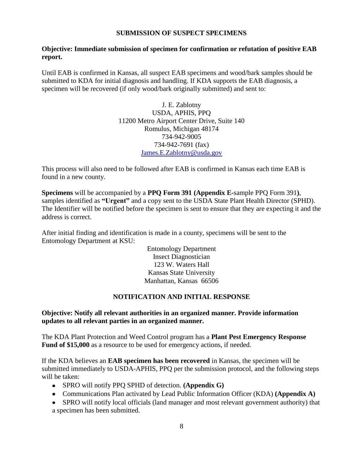## **SUBMISSION OF SUSPECT SPECIMENS**

## **Objective: Immediate submission of specimen for confirmation or refutation of positive EAB report.**

Until EAB is confirmed in Kansas, all suspect EAB specimens and wood/bark samples should be submitted to KDA for initial diagnosis and handling. If KDA supports the EAB diagnosis, a specimen will be recovered (if only wood/bark originally submitted) and sent to:

> J. E. Zablotny USDA, APHIS, PPQ 11200 Metro Airport Center Drive, Suite 140 Romulus, Michigan 48174 734-942-9005 734-942-7691 (fax) [James.E.Zablotny@usda.gov](mailto:James.E.Zablotny@usda.gov)

This process will also need to be followed after EAB is confirmed in Kansas each time EAB is found in a new county.

**Specimens** will be accompanied by a **PPQ Form 391 (Appendix E-**sample PPQ Form 391**)**, samples identified as **"Urgent"** and a copy sent to the USDA State Plant Health Director (SPHD). The Identifier will be notified before the specimen is sent to ensure that they are expecting it and the address is correct.

After initial finding and identification is made in a county, specimens will be sent to the Entomology Department at KSU:

> Entomology Department Insect Diagnostician 123 W. Waters Hall Kansas State University Manhattan, Kansas 66506

## **NOTIFICATION AND INITIAL RESPONSE**

## **Objective: Notify all relevant authorities in an organized manner. Provide information updates to all relevant parties in an organized manner.**

The KDA Plant Protection and Weed Control program has a **Plant Pest Emergency Response Fund of \$15,000** as a resource to be used for emergency actions, if needed.

If the KDA believes an **EAB specimen has been recovered** in Kansas, the specimen will be submitted immediately to USDA-APHIS, PPQ per the submission protocol, and the following steps will be taken:

- SPRO will notify PPQ SPHD of detection. **(Appendix G)**
- Communications Plan activated by Lead Public Information Officer (KDA) **(Appendix A)**
- SPRO will notify local officials (land manager and most relevant government authority) that a specimen has been submitted.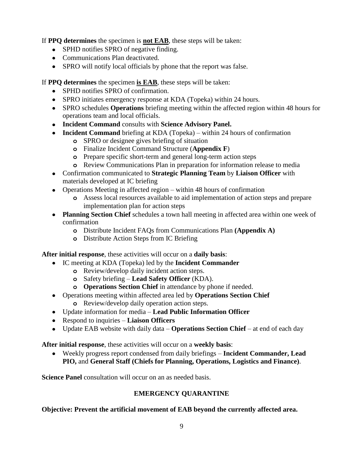If **PPQ determines** the specimen is **not EAB**, these steps will be taken:

- SPHD notifies SPRO of negative finding.
- Communications Plan deactivated.
- SPRO will notify local officials by phone that the report was false.

If **PPQ determines** the specimen **is EAB**, these steps will be taken:

- SPHD notifies SPRO of confirmation.
- SPRO initiates emergency response at KDA (Topeka) within 24 hours.
- SPRO schedules **Operations** briefing meeting within the affected region within 48 hours for operations team and local officials.
- **Incident Command** consults with **Science Advisory Panel.**
- **Incident Command** briefing at KDA (Topeka) within 24 hours of confirmation
	- **o** SPRO or designee gives briefing of situation
	- **o** Finalize Incident Command Structure (**Appendix F**)
	- **o** Prepare specific short-term and general long-term action steps
	- **o** Review Communications Plan in preparation for information release to media
- Confirmation communicated to **Strategic Planning Team** by **Liaison Officer** with materials developed at IC briefing
- Operations Meeting in affected region within 48 hours of confirmation
	- **o** Assess local resources available to aid implementation of action steps and prepare implementation plan for action steps
- **Planning Section Chief** schedules a town hall meeting in affected area within one week of confirmation
	- **o** Distribute Incident FAQs from Communications Plan **(Appendix A)**
	- **o** Distribute Action Steps from IC Briefing

**After initial response**, these activities will occur on a **daily basis**:

- IC meeting at KDA (Topeka) led by the **Incident Commander**
	- **o** Review/develop daily incident action steps.
	- **o** Safety briefing **Lead Safety Officer** (KDA).
	- **o Operations Section Chief** in attendance by phone if needed.
- Operations meeting within affected area led by **Operations Section Chief o** Review/develop daily operation action steps.
- Update information for media **Lead Public Information Officer**
- Respond to inquiries **Liaison Officers**
- Update EAB website with daily data **Operations Section Chief** at end of each day

**After initial response**, these activities will occur on a **weekly basis**:

Weekly progress report condensed from daily briefings – **Incident Commander, Lead PIO,** and **General Staff (Chiefs for Planning, Operations, Logistics and Finance)**.

**Science Panel** consultation will occur on an as needed basis.

# **EMERGENCY QUARANTINE**

**Objective: Prevent the artificial movement of EAB beyond the currently affected area.**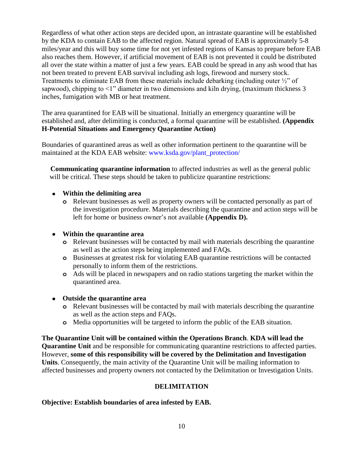Regardless of what other action steps are decided upon, an intrastate quarantine will be established by the KDA to contain EAB to the affected region. Natural spread of EAB is approximately 5-8 miles/year and this will buy some time for not yet infested regions of Kansas to prepare before EAB also reaches them. However, if artificial movement of EAB is not prevented it could be distributed all over the state within a matter of just a few years. EAB could be spread in any ash wood that has not been treated to prevent EAB survival including ash logs, firewood and nursery stock. Treatments to eliminate EAB from these materials include debarking (including outer ½" of sapwood), chipping to <1" diameter in two dimensions and kiln drying, (maximum thickness 3 inches, fumigation with MB or heat treatment.

The area quarantined for EAB will be situational. Initially an emergency quarantine will be established and, after delimiting is conducted, a formal quarantine will be established. **(Appendix H-Potential Situations and Emergency Quarantine Action)**

Boundaries of quarantined areas as well as other information pertinent to the quarantine will be maintained at the KDA EAB website: [www.ksda.gov/plant\\_protection/](http://www.ksda.gov/plant_protection/)

 **Communicating quarantine information** to affected industries as well as the general public will be critical. These steps should be taken to publicize quarantine restrictions:

## **Within the delimiting area**

**o** Relevant businesses as well as property owners will be contacted personally as part of the investigation procedure. Materials describing the quarantine and action steps will be left for home or business owner's not available **(Appendix D).**

# **Within the quarantine area**

- **o** Relevant businesses will be contacted by mail with materials describing the quarantine as well as the action steps being implemented and FAQs.
- **o** Businesses at greatest risk for violating EAB quarantine restrictions will be contacted personally to inform them of the restrictions.
- **o** Ads will be placed in newspapers and on radio stations targeting the market within the quarantined area.
- **Outside the quarantine area**
	- **o** Relevant businesses will be contacted by mail with materials describing the quarantine as well as the action steps and FAQs.
	- **o** Media opportunities will be targeted to inform the public of the EAB situation.

**The Quarantine Unit will be contained within the Operations Branch**. **KDA will lead the Quarantine Unit** and be responsible for communicating quarantine restrictions to affected parties. However, **some of this responsibility will be covered by the Delimitation and Investigation Units**. Consequently, the main activity of the Quarantine Unit will be mailing information to affected businesses and property owners not contacted by the Delimitation or Investigation Units.

# **DELIMITATION**

## **Objective: Establish boundaries of area infested by EAB.**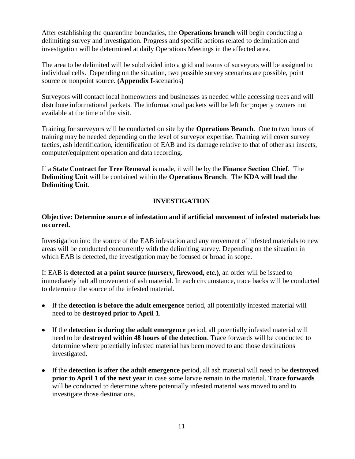After establishing the quarantine boundaries, the **Operations branch** will begin conducting a delimiting survey and investigation. Progress and specific actions related to delimitation and investigation will be determined at daily Operations Meetings in the affected area.

The area to be delimited will be subdivided into a grid and teams of surveyors will be assigned to individual cells. Depending on the situation, two possible survey scenarios are possible, point source or nonpoint source. **(Appendix I-**scenarios**)**

Surveyors will contact local homeowners and businesses as needed while accessing trees and will distribute informational packets. The informational packets will be left for property owners not available at the time of the visit.

Training for surveyors will be conducted on site by the **Operations Branch**. One to two hours of training may be needed depending on the level of surveyor expertise. Training will cover survey tactics, ash identification, identification of EAB and its damage relative to that of other ash insects, computer/equipment operation and data recording.

If a **State Contract for Tree Removal** is made, it will be by the **Finance Section Chief**. The **Delimiting Unit** will be contained within the **Operations Branch**. The **KDA will lead the Delimiting Unit**.

# **INVESTIGATION**

## **Objective: Determine source of infestation and if artificial movement of infested materials has occurred.**

Investigation into the source of the EAB infestation and any movement of infested materials to new areas will be conducted concurrently with the delimiting survey. Depending on the situation in which EAB is detected, the investigation may be focused or broad in scope.

If EAB is **detected at a point source (nursery, firewood, etc.)**, an order will be issued to immediately halt all movement of ash material. In each circumstance, trace backs will be conducted to determine the source of the infested material.

- If the **detection is before the adult emergence** period, all potentially infested material will need to be **destroyed prior to April 1**.
- If the **detection is during the adult emergence** period, all potentially infested material will need to be **destroyed within 48 hours of the detection**. Trace forwards will be conducted to determine where potentially infested material has been moved to and those destinations investigated.
- If the **detection is after the adult emergence** period, all ash material will need to be **destroyed prior to April 1 of the next year** in case some larvae remain in the material. **Trace forwards** will be conducted to determine where potentially infested material was moved to and to investigate those destinations.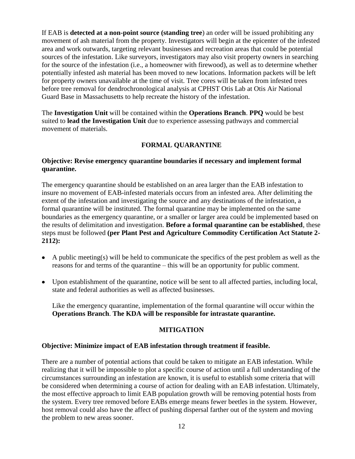If EAB is **detected at a non-point source (standing tree**) an order will be issued prohibiting any movement of ash material from the property. Investigators will begin at the epicenter of the infested area and work outwards, targeting relevant businesses and recreation areas that could be potential sources of the infestation. Like surveyors, investigators may also visit property owners in searching for the source of the infestation (i.e., a homeowner with firewood), as well as to determine whether potentially infested ash material has been moved to new locations. Information packets will be left for property owners unavailable at the time of visit. Tree cores will be taken from infested trees before tree removal for dendrochronological analysis at CPHST Otis Lab at Otis Air National Guard Base in Massachusetts to help recreate the history of the infestation.

The **Investigation Unit** will be contained within the **Operations Branch**. **PPQ** would be best suited to **lead the Investigation Unit** due to experience assessing pathways and commercial movement of materials.

# **FORMAL QUARANTINE**

## **Objective: Revise emergency quarantine boundaries if necessary and implement formal quarantine.**

The emergency quarantine should be established on an area larger than the EAB infestation to insure no movement of EAB-infested materials occurs from an infested area. After delimiting the extent of the infestation and investigating the source and any destinations of the infestation, a formal quarantine will be instituted. The formal quarantine may be implemented on the same boundaries as the emergency quarantine, or a smaller or larger area could be implemented based on the results of delimitation and investigation. **Before a formal quarantine can be established**, these steps must be followed **(per Plant Pest and Agriculture Commodity Certification Act Statute 2- 2112):**

- $\bullet$  A public meeting(s) will be held to communicate the specifics of the pest problem as well as the reasons for and terms of the quarantine – this will be an opportunity for public comment.
- Upon establishment of the quarantine, notice will be sent to all affected parties, including local, state and federal authorities as well as affected businesses.

Like the emergency quarantine, implementation of the formal quarantine will occur within the **Operations Branch**. **The KDA will be responsible for intrastate quarantine.**

## **MITIGATION**

## **Objective: Minimize impact of EAB infestation through treatment if feasible.**

There are a number of potential actions that could be taken to mitigate an EAB infestation. While realizing that it will be impossible to plot a specific course of action until a full understanding of the circumstances surrounding an infestation are known, it is useful to establish some criteria that will be considered when determining a course of action for dealing with an EAB infestation. Ultimately, the most effective approach to limit EAB population growth will be removing potential hosts from the system. Every tree removed before EABs emerge means fewer beetles in the system. However, host removal could also have the affect of pushing dispersal farther out of the system and moving the problem to new areas sooner.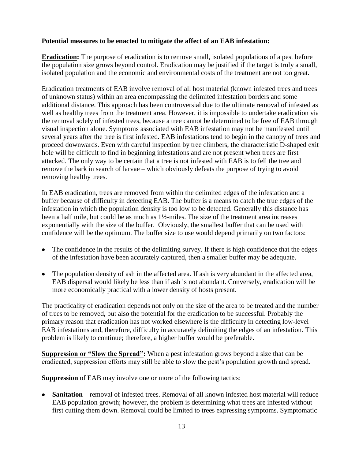## **Potential measures to be enacted to mitigate the affect of an EAB infestation:**

**Eradication:** The purpose of eradication is to remove small, isolated populations of a pest before the population size grows beyond control. Eradication may be justified if the target is truly a small, isolated population and the economic and environmental costs of the treatment are not too great.

Eradication treatments of EAB involve removal of all host material (known infested trees and trees of unknown status) within an area encompassing the delimited infestation borders and some additional distance. This approach has been controversial due to the ultimate removal of infested as well as healthy trees from the treatment area. However, it is impossible to undertake eradication via the removal solely of infested trees, because a tree cannot be determined to be free of EAB through visual inspection alone. Symptoms associated with EAB infestation may not be manifested until several years after the tree is first infested. EAB infestations tend to begin in the canopy of trees and proceed downwards. Even with careful inspection by tree climbers, the characteristic D-shaped exit hole will be difficult to find in beginning infestations and are not present when trees are first attacked. The only way to be certain that a tree is not infested with EAB is to fell the tree and remove the bark in search of larvae – which obviously defeats the purpose of trying to avoid removing healthy trees.

In EAB eradication, trees are removed from within the delimited edges of the infestation and a buffer because of difficulty in detecting EAB. The buffer is a means to catch the true edges of the infestation in which the population density is too low to be detected. Generally this distance has been a half mile, but could be as much as 1½-miles. The size of the treatment area increases exponentially with the size of the buffer. Obviously, the smallest buffer that can be used with confidence will be the optimum. The buffer size to use would depend primarily on two factors:

- The confidence in the results of the delimiting survey. If there is high confidence that the edges of the infestation have been accurately captured, then a smaller buffer may be adequate.
- The population density of ash in the affected area. If ash is very abundant in the affected area, EAB dispersal would likely be less than if ash is not abundant. Conversely, eradication will be more economically practical with a lower density of hosts present.

The practicality of eradication depends not only on the size of the area to be treated and the number of trees to be removed, but also the potential for the eradication to be successful. Probably the primary reason that eradication has not worked elsewhere is the difficulty in detecting low-level EAB infestations and, therefore, difficulty in accurately delimiting the edges of an infestation. This problem is likely to continue; therefore, a higher buffer would be preferable.

**Suppression or "Slow the Spread":** When a pest infestation grows beyond a size that can be eradicated, suppression efforts may still be able to slow the pest's population growth and spread.

**Suppression** of EAB may involve one or more of the following tactics:

• **Sanitation** – removal of infested trees. Removal of all known infested host material will reduce EAB population growth; however, the problem is determining what trees are infested without first cutting them down. Removal could be limited to trees expressing symptoms. Symptomatic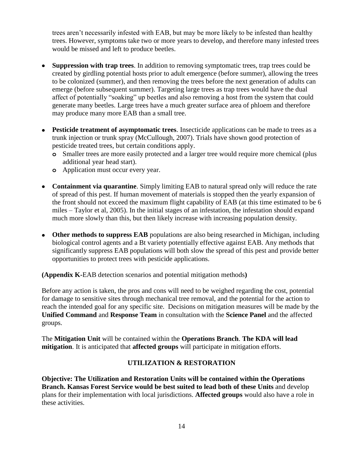trees aren't necessarily infested with EAB, but may be more likely to be infested than healthy trees. However, symptoms take two or more years to develop, and therefore many infested trees would be missed and left to produce beetles.

- **Suppression with trap trees**. In addition to removing symptomatic trees, trap trees could be created by girdling potential hosts prior to adult emergence (before summer), allowing the trees to be colonized (summer), and then removing the trees before the next generation of adults can emerge (before subsequent summer). Targeting large trees as trap trees would have the dual affect of potentially "soaking" up beetles and also removing a host from the system that could generate many beetles. Large trees have a much greater surface area of phloem and therefore may produce many more EAB than a small tree.
- **Pesticide treatment of asymptomatic trees**. Insecticide applications can be made to trees as a trunk injection or trunk spray (McCullough, 2007). Trials have shown good protection of pesticide treated trees, but certain conditions apply.
	- **o** Smaller trees are more easily protected and a larger tree would require more chemical (plus additional year head start).
	- **o** Application must occur every year.
- **Containment via quarantine**. Simply limiting EAB to natural spread only will reduce the rate of spread of this pest. If human movement of materials is stopped then the yearly expansion of the front should not exceed the maximum flight capability of EAB (at this time estimated to be 6 miles – Taylor et al, 2005). In the initial stages of an infestation, the infestation should expand much more slowly than this, but then likely increase with increasing population density.
- **Other methods to suppress EAB** populations are also being researched in Michigan, including biological control agents and a Bt variety potentially effective against EAB. Any methods that significantly suppress EAB populations will both slow the spread of this pest and provide better opportunities to protect trees with pesticide applications.

**(Appendix K-**EAB detection scenarios and potential mitigation methods**)**

Before any action is taken, the pros and cons will need to be weighed regarding the cost, potential for damage to sensitive sites through mechanical tree removal, and the potential for the action to reach the intended goal for any specific site. Decisions on mitigation measures will be made by the **Unified Command** and **Response Team** in consultation with the **Science Panel** and the affected groups.

The **Mitigation Unit** will be contained within the **Operations Branch**. **The KDA will lead mitigation**. It is anticipated that **affected groups** will participate in mitigation efforts.

# **UTILIZATION & RESTORATION**

**Objective: The Utilization and Restoration Units will be contained within the Operations Branch. Kansas Forest Service would be best suited to lead both of these Units** and develop plans for their implementation with local jurisdictions. **Affected groups** would also have a role in these activities.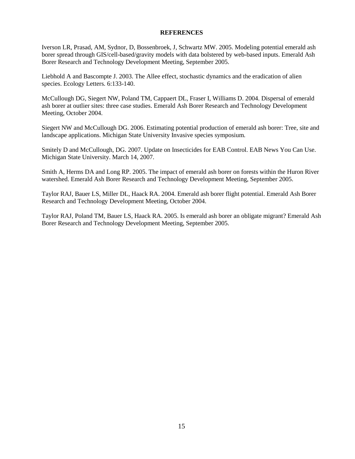#### **REFERENCES**

Iverson LR, Prasad, AM, Sydnor, D, Bossenbroek, J, Schwartz MW. 2005. Modeling potential emerald ash borer spread through GIS/cell-based/gravity models with data bolstered by web-based inputs. Emerald Ash Borer Research and Technology Development Meeting, September 2005.

Liebhold A and Bascompte J. 2003. The Allee effect, stochastic dynamics and the eradication of alien species. Ecology Letters. 6:133-140.

McCullough DG, Siegert NW, Poland TM, Cappaert DL, Fraser I, Williams D. 2004. Dispersal of emerald ash borer at outlier sites: three case studies. Emerald Ash Borer Research and Technology Development Meeting, October 2004.

Siegert NW and McCullough DG. 2006. Estimating potential production of emerald ash borer: Tree, site and landscape applications. Michigan State University Invasive species symposium.

Smitely D and McCullough, DG. 2007. Update on Insecticides for EAB Control. EAB News You Can Use. Michigan State University. March 14, 2007.

Smith A, Herms DA and Long RP. 2005. The impact of emerald ash borer on forests within the Huron River watershed. Emerald Ash Borer Research and Technology Development Meeting, September 2005.

Taylor RAJ, Bauer LS, Miller DL, Haack RA. 2004. Emerald ash borer flight potential. Emerald Ash Borer Research and Technology Development Meeting, October 2004.

Taylor RAJ, Poland TM, Bauer LS, Haack RA. 2005. Is emerald ash borer an obligate migrant? Emerald Ash Borer Research and Technology Development Meeting, September 2005.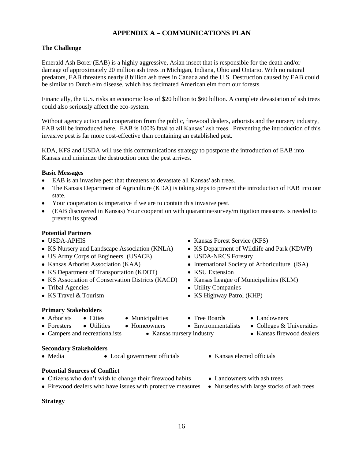## **APPENDIX A – COMMUNICATIONS PLAN**

## **The Challenge**

Emerald Ash Borer (EAB) is a highly aggressive, Asian insect that is responsible for the death and/or damage of approximately 20 million ash trees in Michigan, Indiana, Ohio and Ontario. With no natural predators, EAB threatens nearly 8 billion ash trees in Canada and the U.S. Destruction caused by EAB could be similar to Dutch elm disease, which has decimated American elm from our forests.

Financially, the U.S. risks an economic loss of \$20 billion to \$60 billion. A complete devastation of ash trees could also seriously affect the eco-system.

Without agency action and cooperation from the public, firewood dealers, arborists and the nursery industry, EAB will be introduced here. EAB is 100% fatal to all Kansas' ash trees. Preventing the introduction of this invasive pest is far more cost-effective than containing an established pest.

KDA, KFS and USDA will use this communications strategy to postpone the introduction of EAB into Kansas and minimize the destruction once the pest arrives.

#### **Basic Messages**

- EAB is an invasive pest that threatens to devastate all Kansas' ash trees.
- The Kansas Department of Agriculture (KDA) is taking steps to prevent the introduction of EAB into our state.
- Your cooperation is imperative if we are to contain this invasive pest.
- (EAB discovered in Kansas) Your cooperation with quarantine/survey/mitigation measures is needed to prevent its spread.

## **Potential Partners**

- 
- KS Nursery and Landscape Association (KNLA) KS Department of Wildlife and Park (KDWP)
- US Army Corps of Engineers (USACE) USDA-NRCS Forestry
- 
- KS Department of Transportation (KDOT) KSU Extension
- KS Association of Conservation Districts (KACD) Kansas League of Municipalities (KLM)
- 
- 

## **Primary Stakeholders**

- 
- 
- 
- Campers and recreationalists Kansas nursery industry Kansas firewood dealers

## **Secondary Stakeholders**

• Media • Local government officials • Kansas elected officials

## **Potential Sources of Conflict**

- Citizens who don't wish to change their firewood habits Landowners with ash trees
- Firewood dealers who have issues with protective measures Nurseries with large stocks of ash trees

#### **Strategy**

- USDA-APHIS Kansas Forest Service (KFS)
	-
	-
- Kansas Arborist Association (KAA) International Society of Arboriculture (ISA)
	-
	-
- Tribal Agencies Utility Companies
- KS Travel & Tourism KS Highway Patrol (KHP)
	- -
- 
- Foresters Utilities Homeowners Environmentalists Colleges & Universities
	-
	-
	-
	-
- 
- Arborists Cities Municipalities Tree Boards Landowners
	-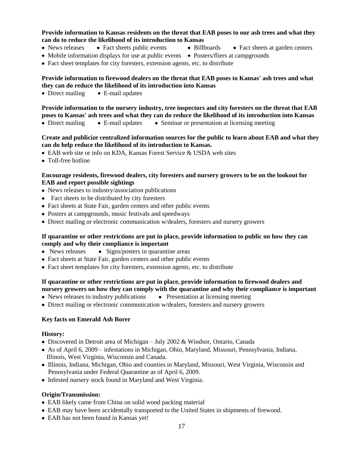#### **Provide information to Kansas residents on the threat that EAB poses to our ash trees and what they can do to reduce the likelihood of its introduction to Kansas**

- News releases Fact sheets public events Billboards Fact sheets at garden centers
	-
- Mobile information displays for use at public events Posters/fliers at campgrounds
- Fact sheet templates for city foresters, extension agents, etc. to distribute

#### **Provide information to firewood dealers on the threat that EAB poses to Kansas' ash trees and what they can do reduce the likelihood of its introduction into Kansas**

 $\bullet$  Direct mailing  $\bullet$  E-mail updates

**Provide information to the nursery industry, tree inspectors and city foresters on the threat that EAB poses to Kansas' ash trees and what they can do reduce the likelihood of its introduction into Kansas**

• Direct mailing • E-mail updates • Seminar or presentation at licensing meeting

#### **Create and publicize centralized information sources for the public to learn about EAB and what they can do help reduce the likelihood of its introduction to Kansas.**

- EAB web site or info on KDA, Kansas Forest Service & USDA web sites
- Toll-free hotline

#### **Encourage residents, firewood dealers, city foresters and nursery growers to be on the lookout for EAB and report possible sightings**

- News releases to industry/association publications
- Fact sheets to be distributed by city foresters
- Fact sheets at State Fair, garden centers and other public events
- Posters at campgrounds, music festivals and speedways
- Direct mailing or electronic communication w/dealers, foresters and nursery growers

#### **If quarantine or other restrictions are put in place, provide information to public on how they can comply and why their compliance is important**

- $\bullet$  News releases  $\bullet$  Signs/posters in quarantine areas
- Fact sheets at State Fair, garden centers and other public events
- Fact sheet templates for city foresters, extension agents, etc. to distribute

## **If quarantine or other restrictions are put in place, provide information to firewood dealers and nursery growers on how they can comply with the quarantine and why their compliance is important**

- News releases to industry publications Presentation at licensing meeting
- Direct mailing or electronic communication w/dealers, foresters and nursery growers

## **Key facts on Emerald Ash Borer**

#### **History:**

- Discovered in Detroit area of Michigan July 2002 & Windsor, Ontario, Canada
- As of April 6, 2009 infestations in Michigan, Ohio, Maryland, Missouri, Pennsylvania, Indiana, Illinois, West Virginia, Wisconsin and Canada.
- Illinois, Indiana, Michigan, Ohio and counties in Maryland, Missouri, West Virginia, Wisconsin and Pennsylvania under Federal Quarantine as of April 6, 2009.
- Infested nursery stock found in Maryland and West Virginia.

## **Origin/Transmission:**

- EAB likely came from China on solid wood packing material
- EAB may have been accidentally transported to the United States in shipments of firewood.
- EAB has not been found in Kansas yet!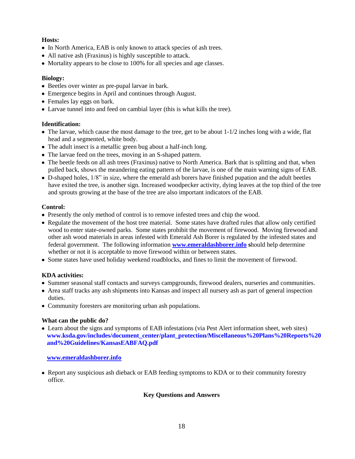#### **Hosts:**

- In North America, EAB is only known to attack species of ash trees.
- All native ash (Fraxinus) is highly susceptible to attack.
- Mortality appears to be close to 100% for all species and age classes.

#### **Biology:**

- Beetles over winter as pre-pupal larvae in bark.
- Emergence begins in April and continues through August.
- Females lay eggs on bark.
- Larvae tunnel into and feed on cambial layer (this is what kills the tree).

#### **Identification:**

- $\bullet$  The larvae, which cause the most damage to the tree, get to be about  $1-1/2$  inches long with a wide, flat head and a segmented, white body.
- The adult insect is a metallic green bug about a half-inch long.
- The larvae feed on the trees, moving in an S-shaped pattern.
- The beetle feeds on all ash trees (Fraxinus) native to North America. Bark that is splitting and that, when pulled back, shows the meandering eating pattern of the larvae, is one of the main warning signs of EAB.
- D-shaped holes, 1/8" in size, where the emerald ash borers have finished pupation and the adult beetles have exited the tree, is another sign. Increased woodpecker activity, dying leaves at the top third of the tree and sprouts growing at the base of the tree are also important indicators of the EAB.

#### **Control:**

- Presently the only method of control is to remove infested trees and chip the wood.
- Regulate the movement of the host tree material. Some states have drafted rules that allow only certified wood to enter state-owned parks. Some states prohibit the movement of firewood. Moving firewood and other ash wood materials in areas infested with Emerald Ash Borer is regulated by the infested states and federal government. The following information **[www.emeraldashborer.info](http://www.emeraldashborer.info/) s**hould help determine whether or not it is acceptable to move firewood within or between states.
- Some states have used holiday weekend roadblocks, and fines to limit the movement of firewood.

## **KDA activities:**

- Summer seasonal staff contacts and surveys campgrounds, firewood dealers, nurseries and communities.
- Area staff tracks any ash shipments into Kansas and inspect all nursery ash as part of general inspection duties.
- Community foresters are monitoring urban ash populations.

## **What can the public do?**

 Learn about the signs and symptoms of EAB infestations (via Pest Alert information sheet, web sites) **[www.ksda.gov/includes/document\\_center/plant\\_protection/Miscellaneous%20Plans%20Reports%20](http://www.ksda.gov/includes/document_center/plant_protection/Miscellaneous%20Plans%20Reports%20and%20Guidelines/KansasEABFAQ.pdf) [and%20Guidelines/KansasEABFAQ.pdf](http://www.ksda.gov/includes/document_center/plant_protection/Miscellaneous%20Plans%20Reports%20and%20Guidelines/KansasEABFAQ.pdf)**

#### **[www.emeraldashborer.info](http://www.emeraldashborer.info/)**

 Report any suspicious ash dieback or EAB feeding symptoms to KDA or to their community forestry office.

#### **Key Questions and Answers**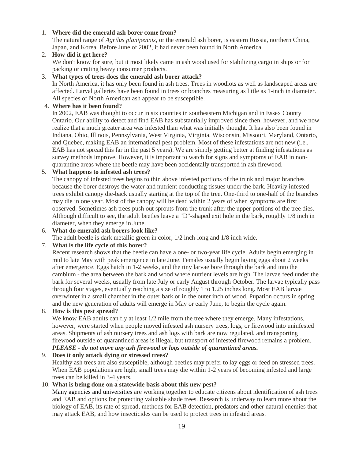#### 1. **Where did the emerald ash borer come from?**

The natural range of *Agrilus planipennis*, or the emerald ash borer, is eastern Russia, northern China, Japan, and Korea. Before June of 2002, it had never been found in North America.

#### 2. **How did it get here?**

We don't know for sure, but it most likely came in ash wood used for stabilizing cargo in ships or for packing or crating heavy consumer products.

#### 3. **What types of trees does the emerald ash borer attack?**

In North America, it has only been found in ash trees. Trees in woodlots as well as landscaped areas are affected. Larval galleries have been found in trees or branches measuring as little as 1-inch in diameter. All species of North American ash appear to be susceptible.

#### 4. **Where has it been found?**

In 2002, EAB was thought to occur in six counties in southeastern Michigan and in Essex County Ontario. Our ability to detect and find EAB has substantially improved since then, however, and we now realize that a much greater area was infested than what was initially thought. It has also been found in Indiana, Ohio, Illinois, Pennsylvania, West Virginia, Virginia, Wisconsin, Missouri, Maryland, Ontario, and Quebec, making EAB an international pest problem. Most of these infestations are not new (i.e., EAB has not spread this far in the past 5 years). We are simply getting better at finding infestations as survey methods improve. However, it is important to watch for signs and symptoms of EAB in nonquarantine areas where the beetle may have been accidentally transported in ash firewood.

#### 5. **What happens to infested ash trees?**

The canopy of infested trees begins to thin above infested portions of the trunk and major branches because the borer destroys the water and nutrient conducting tissues under the bark. Heavily infested trees exhibit canopy die-back usually starting at the top of the tree. One-third to one-half of the branches may die in one year. Most of the canopy will be dead within 2 years of when symptoms are first observed. Sometimes ash trees push out sprouts from the trunk after the upper portions of the tree dies. Although difficult to see, the adult beetles leave a "D"-shaped exit hole in the bark, roughly 1/8 inch in diameter, when they emerge in June.

#### 6. **What do emerald ash borers look like?**

The adult beetle is dark metallic green in color, 1/2 inch-long and 1/8 inch wide.

#### 7. **What is the life cycle of this borer?**

Recent research shows that the beetle can have a one- or two-year life cycle. Adults begin emerging in mid to late May with peak emergence in late June. Females usually begin laying eggs about 2 weeks after emergence. Eggs hatch in 1-2 weeks, and the tiny larvae bore through the bark and into the cambium - the area between the bark and wood where nutrient levels are high. The larvae feed under the bark for several weeks, usually from late July or early August through October. The larvae typically pass through four stages, eventually reaching a size of roughly 1 to 1.25 inches long. Most EAB larvae overwinter in a small chamber in the outer bark or in the outer inch of wood. Pupation occurs in spring and the new generation of adults will emerge in May or early June, to begin the cycle again.

#### 8. **How is this pest spread?**

We know EAB adults can fly at least  $1/2$  mile from the tree where they emerge. Many infestations, however, were started when people moved infested ash nursery trees, logs, or firewood into uninfested areas. Shipments of ash nursery trees and ash logs with bark are now regulated, and transporting firewood outside of quarantined areas is illegal, but transport of infested firewood remains a problem. *PLEASE - do not move any ash firewood or logs outside of quarantined areas.*

#### 9. **Does it only attack dying or stressed trees?**

Healthy ash trees are also susceptible, although beetles may prefer to lay eggs or feed on stressed trees. When EAB populations are high, small trees may die within 1-2 years of becoming infested and large trees can be killed in 3-4 years.

#### 10. **What is being done on a statewide basis about this new pest?**

[Many agencies and universities](http://www.emeraldashborer.info/links.cfm) are working together to educate citizens about identification of ash trees and EAB and options for protecting valuable shade trees. Research is underway to learn more about the biology of EAB, its rate of spread, methods for EAB detection, predators and other natural enemies that may attack EAB, and how insecticides can be used to protect trees in infested areas.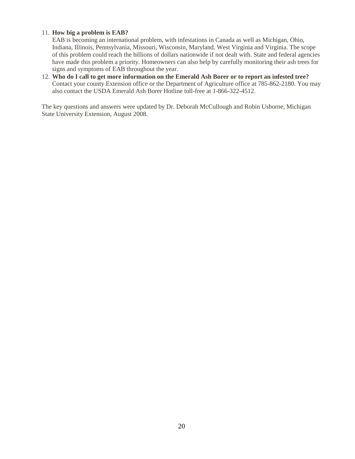#### 11. **How big a problem is EAB?**

EAB is becoming an international problem, with infestations in Canada as well as Michigan, Ohio, Indiana, Illinois, Pennsylvania, Missouri, Wisconsin, Maryland, West Virginia and Virginia. The scope of this problem could reach the billions of dollars nationwide if not dealt with. State and federal agencies have made this problem a priority. Homeowners can also help by carefully monitoring their ash trees for signs and symptoms of EAB throughout the year.

12. **Who do I call to get more information on the Emerald Ash Borer or to report an infested tree?** Contact your county Extension office or the Department of Agriculture office at 785-862-2180. You may also contact the USDA Emerald Ash Borer Hotline toll-free at 1-866-322-4512.

The key questions and answers were updated by Dr. Deborah McCullough and Robin Usborne, Michigan State University Extension, August 2008.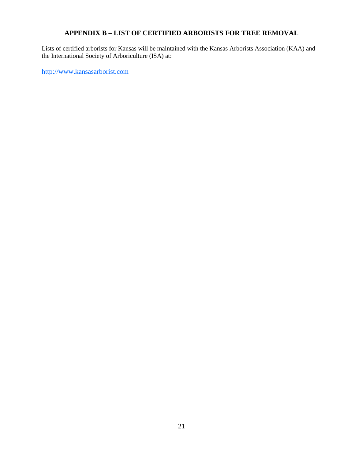## **APPENDIX B – LIST OF CERTIFIED ARBORISTS FOR TREE REMOVAL**

Lists of certified arborists for Kansas will be maintained with the Kansas Arborists Association (KAA) and the International Society of Arboriculture (ISA) at:

[http://www.kansasarborist.com](http://www.kansasarborist.com/)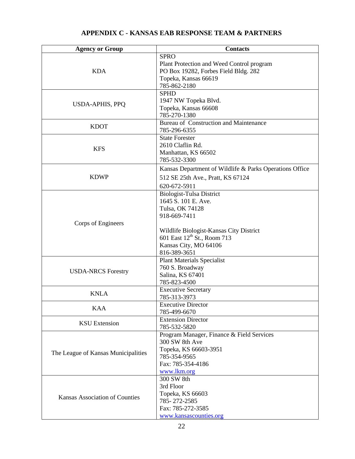#### **Agency or Group Contacts** KDA SPRO Plant Protection and Weed Control program PO Box 19282, Forbes Field Bldg. 282 Topeka, Kansas 66619 785-862-2180 USDA-APHIS, PPQ SPHD 1947 NW Topeka Blvd. Topeka, Kansas 66608 785-270-1380 KDOT Bureau of Construction and Maintenance 785-296-6355 KFS State Forester 2610 Claflin Rd. Manhattan, KS 66502 785-532-3300 KDWP Kansas Department of Wildlife & Parks Operations Office 512 SE 25th Ave., Pratt, KS 67124 620-672-5911 Corps of Engineers Biologist-Tulsa District 1645 S. 101 E. Ave. Tulsa, OK 74128 918-669-7411 Wildlife Biologist-Kansas City District 601 East 12<sup>th</sup> St., Room 713 Kansas City, MO 64106 816-389-3651 USDA-NRCS Forestry Plant Materials Specialist 760 S. Broadway Salina, KS 67401 785-823-4500 KNLA Executive Secretary 785-313-3973 KAA Executive Director 785-499-6670 KSU Extension Extension Director 785-532-5820 The League of Kansas Municipalities Program Manager, Finance & Field Services 300 SW 8th Ave Topeka, KS 66603-3951 785-354-9565 Fax: 785-354-4186 [www.lkm.org](http://www.lkm.org/) Kansas Association of Counties 300 SW 8th 3rd Floor Topeka, KS 66603 785- 272-2585 Fax: 785-272-3585 [www.kansascounties.org](http://www.kansascounties.org/)

#### **APPENDIX C - KANSAS EAB RESPONSE TEAM & PARTNERS**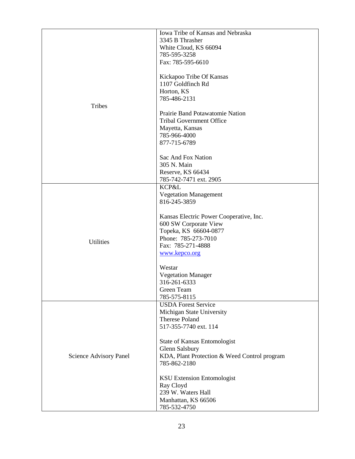|                        | Iowa Tribe of Kansas and Nebraska            |  |  |  |  |
|------------------------|----------------------------------------------|--|--|--|--|
|                        | 3345 B Thrasher                              |  |  |  |  |
|                        |                                              |  |  |  |  |
|                        | White Cloud, KS 66094                        |  |  |  |  |
|                        | 785-595-3258                                 |  |  |  |  |
|                        | Fax: 785-595-6610                            |  |  |  |  |
|                        |                                              |  |  |  |  |
|                        | Kickapoo Tribe Of Kansas                     |  |  |  |  |
|                        | 1107 Goldfinch Rd                            |  |  |  |  |
|                        | Horton, KS                                   |  |  |  |  |
|                        | 785-486-2131                                 |  |  |  |  |
| Tribes                 |                                              |  |  |  |  |
|                        | Prairie Band Potawatomie Nation              |  |  |  |  |
|                        | <b>Tribal Government Office</b>              |  |  |  |  |
|                        |                                              |  |  |  |  |
|                        | Mayetta, Kansas                              |  |  |  |  |
|                        | 785-966-4000                                 |  |  |  |  |
|                        | 877-715-6789                                 |  |  |  |  |
|                        |                                              |  |  |  |  |
|                        | Sac And Fox Nation                           |  |  |  |  |
|                        | 305 N. Main                                  |  |  |  |  |
|                        | Reserve, KS 66434                            |  |  |  |  |
|                        | 785-742-7471 ext. 2905                       |  |  |  |  |
|                        | KCP&L                                        |  |  |  |  |
|                        | <b>Vegetation Management</b>                 |  |  |  |  |
|                        | 816-245-3859                                 |  |  |  |  |
|                        |                                              |  |  |  |  |
|                        |                                              |  |  |  |  |
|                        | Kansas Electric Power Cooperative, Inc.      |  |  |  |  |
|                        | 600 SW Corporate View                        |  |  |  |  |
|                        | Topeka, KS 66604-0877                        |  |  |  |  |
| <b>Utilities</b>       | Phone: 785-273-7010                          |  |  |  |  |
|                        | Fax: 785-271-4888                            |  |  |  |  |
|                        | www.kepco.org                                |  |  |  |  |
|                        |                                              |  |  |  |  |
|                        | Westar                                       |  |  |  |  |
|                        | <b>Vegetation Manager</b>                    |  |  |  |  |
|                        | 316-261-6333                                 |  |  |  |  |
|                        | Green Team                                   |  |  |  |  |
|                        | 785-575-8115                                 |  |  |  |  |
|                        |                                              |  |  |  |  |
|                        | <b>USDA Forest Service</b>                   |  |  |  |  |
|                        | Michigan State University                    |  |  |  |  |
|                        | Therese Poland                               |  |  |  |  |
|                        | 517-355-7740 ext. 114                        |  |  |  |  |
|                        |                                              |  |  |  |  |
|                        | State of Kansas Entomologist                 |  |  |  |  |
|                        | Glenn Salsbury                               |  |  |  |  |
| Science Advisory Panel | KDA, Plant Protection & Weed Control program |  |  |  |  |
|                        | 785-862-2180                                 |  |  |  |  |
|                        |                                              |  |  |  |  |
|                        | <b>KSU Extension Entomologist</b>            |  |  |  |  |
|                        | Ray Cloyd                                    |  |  |  |  |
|                        | 239 W. Waters Hall                           |  |  |  |  |
|                        | Manhattan, KS 66506                          |  |  |  |  |
|                        |                                              |  |  |  |  |
|                        | 785-532-4750                                 |  |  |  |  |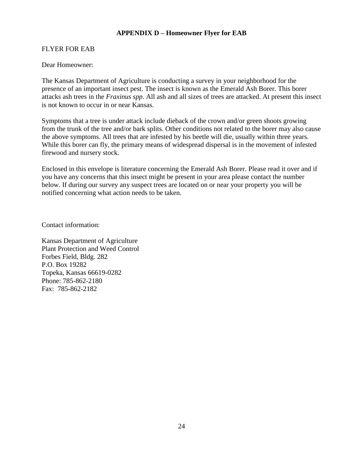## **APPENDIX D – Homeowner Flyer for EAB**

## FLYER FOR EAB

#### Dear Homeowner:

The Kansas Department of Agriculture is conducting a survey in your neighborhood for the presence of an important insect pest. The insect is known as the Emerald Ash Borer. This borer attacks ash trees in the *Fraxinus spp*. All ash and all sizes of trees are attacked. At present this insect is not known to occur in or near Kansas.

Symptoms that a tree is under attack include dieback of the crown and/or green shoots growing from the trunk of the tree and/or bark splits. Other conditions not related to the borer may also cause the above symptoms. All trees that are infested by his beetle will die, usually within three years. While this borer can fly, the primary means of widespread dispersal is in the movement of infested firewood and nursery stock.

Enclosed in this envelope is literature concerning the Emerald Ash Borer. Please read it over and if you have any concerns that this insect might be present in your area please contact the number below. If during our survey any suspect trees are located on or near your property you will be notified concerning what action needs to be taken.

Contact information:

Kansas Department of Agriculture Plant Protection and Weed Control Forbes Field, Bldg. 282 P.O. Box 19282 Topeka, Kansas 66619-0282 Phone: 785-862-2180 Fax: 785-862-2182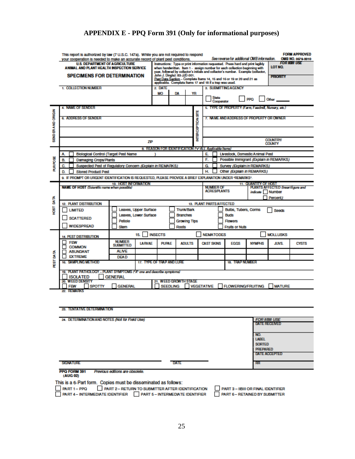# **APPENDIX E - PPQ Form 391 (Only for informational purposes)**

|                                                                                         | This report is authorized by law (7 U.S.C. 147a). While you are not required to respond<br>your cooperation is needed to make an accurate record of plant pest conditions.<br><b>U.S. DEPARTMENT OF AGRICULTURE</b><br>ANIMAL AND PLANT HEALTH INSPECTION SERVICE<br><b>SPECIMENS FOR DETERMINATION</b><br>1. COLLECTION NUMBER               |                                                                                                                                    |                                                         | See reverse for additional CMB information.<br><b>FOR IIBIII USE</b><br>Instructions: Type or print information requested. Press hard and print legibly<br>LOT NO.<br>when handwritten. Item 1 - assign number for each collection beginning with<br>year, followed by collector's initials and collector's number. Example (collector,<br>John J. Dingle): 83-JJD-001.<br><b>PRIORITY</b><br>Post Data Section - Complete Items 14, 15 and 16 or 19 or 20 and 21 as<br>applicable. Complete ftems 17 and 18 if a trap was used.<br>3. SUBMITTING AGENCY<br>2 DATE<br>MO<br>DA<br>YR<br><b>State</b><br><b>PPO</b><br>Other<br>Cooperator |                        |                                                                                                |                                                                                               | <b>FORM APPROVED</b><br>OMB NO. 0579-0010 |               |                 |              |
|-----------------------------------------------------------------------------------------|-----------------------------------------------------------------------------------------------------------------------------------------------------------------------------------------------------------------------------------------------------------------------------------------------------------------------------------------------|------------------------------------------------------------------------------------------------------------------------------------|---------------------------------------------------------|-------------------------------------------------------------------------------------------------------------------------------------------------------------------------------------------------------------------------------------------------------------------------------------------------------------------------------------------------------------------------------------------------------------------------------------------------------------------------------------------------------------------------------------------------------------------------------------------------------------------------------------------|------------------------|------------------------------------------------------------------------------------------------|-----------------------------------------------------------------------------------------------|-------------------------------------------|---------------|-----------------|--------------|
| SENDER AND ORIGIN                                                                       | <b>4. NAME OF SENDER</b><br><b>6. ADDRESS OF SENDER</b>                                                                                                                                                                                                                                                                                       |                                                                                                                                    |                                                         |                                                                                                                                                                                                                                                                                                                                                                                                                                                                                                                                                                                                                                           | <b>NTERCEPTION STE</b> |                                                                                                | 5. TYPE OF PROPERTY (Farm Foodmil, Nursery, etc.)<br>7. NAME AND ADDRESS OF PROPERTY OR OWNER |                                           |               | <b>COUNTRY/</b> |              |
|                                                                                         |                                                                                                                                                                                                                                                                                                                                               |                                                                                                                                    | ZIP                                                     |                                                                                                                                                                                                                                                                                                                                                                                                                                                                                                                                                                                                                                           |                        |                                                                                                |                                                                                               |                                           |               | <b>COUNTY</b>   |              |
|                                                                                         | Biological Control (Target Pest Name<br>A.                                                                                                                                                                                                                                                                                                    |                                                                                                                                    | 8. REASON FOR IDENTIFICATION ("x" ALL Applicable Items) |                                                                                                                                                                                                                                                                                                                                                                                                                                                                                                                                                                                                                                           |                        | E.                                                                                             |                                                                                               | <b>Livestock. Domestic Animal Pest</b>    |               |                 |              |
|                                                                                         | <b>Damaging Crops/Plants</b><br>В.                                                                                                                                                                                                                                                                                                            |                                                                                                                                    |                                                         |                                                                                                                                                                                                                                                                                                                                                                                                                                                                                                                                                                                                                                           |                        | F.                                                                                             |                                                                                               | Possible Immigrant (Explain in REMARKS)   |               |                 |              |
| ₹RHO                                                                                    | C.                                                                                                                                                                                                                                                                                                                                            | Suspected Pest of Regulatory Concern (Explain in REMARKS)                                                                          |                                                         |                                                                                                                                                                                                                                                                                                                                                                                                                                                                                                                                                                                                                                           |                        | G                                                                                              |                                                                                               | Survey (Explain In REMARKS)               |               |                 |              |
|                                                                                         | D.<br><b>Stored Product Pest</b>                                                                                                                                                                                                                                                                                                              |                                                                                                                                    |                                                         |                                                                                                                                                                                                                                                                                                                                                                                                                                                                                                                                                                                                                                           |                        | н.                                                                                             |                                                                                               | Other (Explain in REMARKS)                |               |                 |              |
|                                                                                         |                                                                                                                                                                                                                                                                                                                                               |                                                                                                                                    |                                                         |                                                                                                                                                                                                                                                                                                                                                                                                                                                                                                                                                                                                                                           |                        |                                                                                                |                                                                                               |                                           |               |                 |              |
|                                                                                         | 9. IF PROMPT OR URGENT IDENTIFICATION IS REQUESTED, PLEASE PROVIDE A BRIEF EXPLANATION UNDER "REMARKS".<br>10. HOST INFORMATION<br><b>11. QUANTITY OF HOST</b><br><b>NAME OF HOST (Scientific name when possible)</b><br><b>NUMBER OF</b><br>PLANTS AFFECTED (Insert figure and<br><b>ACRES/PLANTS</b><br>indicato Number<br>$\Box$ Percent): |                                                                                                                                    |                                                         |                                                                                                                                                                                                                                                                                                                                                                                                                                                                                                                                                                                                                                           |                        |                                                                                                |                                                                                               |                                           |               |                 |              |
| DATA                                                                                    | <b>12. PLANT DISTRIBUTION</b>                                                                                                                                                                                                                                                                                                                 |                                                                                                                                    |                                                         |                                                                                                                                                                                                                                                                                                                                                                                                                                                                                                                                                                                                                                           |                        |                                                                                                |                                                                                               | <b>13. PLANT PARTS AFFECTED</b>           |               |                 |              |
| 180H                                                                                    | <b>LIMITED</b><br><b>SCATTERED</b><br><b>WIDESPREAD</b>                                                                                                                                                                                                                                                                                       | Leaves, Upper Surface<br><b>Trunk/Bark</b><br>Leaves, Lower Surface<br><b>Branches</b><br>Petiole<br>Growing Tips<br>Roots<br>Stem |                                                         |                                                                                                                                                                                                                                                                                                                                                                                                                                                                                                                                                                                                                                           |                        | Bulbs, Tubers, Corms<br><b>Seeds</b><br><b>Buds</b><br><b>Flowers</b><br><b>Fruits or Nuts</b> |                                                                                               |                                           |               |                 |              |
|                                                                                         | <b>MOLLUSKS</b><br><b>INSECTS</b><br><b>NEMATODES</b><br>15.<br>14. PEST DISTRIBUTION                                                                                                                                                                                                                                                         |                                                                                                                                    |                                                         |                                                                                                                                                                                                                                                                                                                                                                                                                                                                                                                                                                                                                                           |                        |                                                                                                |                                                                                               |                                           |               |                 |              |
|                                                                                         | <b>FEW</b><br><b>COMMON</b>                                                                                                                                                                                                                                                                                                                   | <b>NUMBER</b><br><b>LARVAE</b><br><b>SUBMITTED</b>                                                                                 | <b>PUPAE</b>                                            |                                                                                                                                                                                                                                                                                                                                                                                                                                                                                                                                                                                                                                           | <b>ADULTS</b>          | <b>CAST SKINS</b>                                                                              |                                                                                               | <b>FGGS</b>                               | <b>NYMPHS</b> | <b>JUVS</b>     | <b>CYSTS</b> |
|                                                                                         | <b>ABUNDANT</b>                                                                                                                                                                                                                                                                                                                               | <b>ALIVE</b>                                                                                                                       |                                                         |                                                                                                                                                                                                                                                                                                                                                                                                                                                                                                                                                                                                                                           |                        |                                                                                                |                                                                                               |                                           |               |                 |              |
|                                                                                         | <b>EXTREME</b>                                                                                                                                                                                                                                                                                                                                | <b>DEAD</b>                                                                                                                        |                                                         |                                                                                                                                                                                                                                                                                                                                                                                                                                                                                                                                                                                                                                           |                        |                                                                                                |                                                                                               |                                           |               |                 |              |
| <b>FIST DATA</b><br>16. SAMPLING METHOD<br>17. TYPE OF TRAP AND LURE<br>18. TRAP NUMBER |                                                                                                                                                                                                                                                                                                                                               |                                                                                                                                    |                                                         |                                                                                                                                                                                                                                                                                                                                                                                                                                                                                                                                                                                                                                           |                        |                                                                                                |                                                                                               |                                           |               |                 |              |
|                                                                                         | 19. PLANT PATHOLOGY - PLANT SYMPTOMS ("X" one and describe symptoms)<br><b>ISOLATED</b><br><b>GENERAL</b>                                                                                                                                                                                                                                     |                                                                                                                                    |                                                         |                                                                                                                                                                                                                                                                                                                                                                                                                                                                                                                                                                                                                                           |                        |                                                                                                |                                                                                               |                                           |               |                 |              |
|                                                                                         | 20 WEED DENSITY<br>21. WEED GROWTH STAGE<br><b>SPOTTY</b><br><b>SEEDLING</b><br><b>VEGETATIVE</b><br><b>FLOWERING/FRUITING</b><br><b>FEW</b><br><b>GENERAL</b><br><b>I MATURE</b>                                                                                                                                                             |                                                                                                                                    |                                                         |                                                                                                                                                                                                                                                                                                                                                                                                                                                                                                                                                                                                                                           |                        |                                                                                                |                                                                                               |                                           |               |                 |              |
|                                                                                         | 22 REMARKS                                                                                                                                                                                                                                                                                                                                    |                                                                                                                                    |                                                         |                                                                                                                                                                                                                                                                                                                                                                                                                                                                                                                                                                                                                                           |                        |                                                                                                |                                                                                               |                                           |               |                 |              |
|                                                                                         |                                                                                                                                                                                                                                                                                                                                               |                                                                                                                                    |                                                         |                                                                                                                                                                                                                                                                                                                                                                                                                                                                                                                                                                                                                                           |                        |                                                                                                |                                                                                               |                                           |               |                 |              |

#### 23. TENTATIVE DETERMINATION

| 24. DETERMINATION AND NOTES (Not for Field Use) |      | <b>FOR IIBIII USE</b><br><b>DATE RECEIVED</b>                                   |
|-------------------------------------------------|------|---------------------------------------------------------------------------------|
|                                                 |      | NO.<br><b>LABEL</b><br><b>SORTED</b><br><b>PREPARED</b><br><b>DATE ACCEPTED</b> |
| SIGNATURE                                       | DATE | <b>RR</b>                                                                       |

PPQ FORM 391 Previous editions are obsolete. (AUG 02)

This is a 6-Part form. Copies must be disseminated as follows:

PART 1 - PPQ <br>
PART 2 - RETURN TO SUBMITTER AFTER IDENTIFICATION<br>
PART 4 - INTERMEDIATE IDENTIFIER PART 5 - INTERMEDIATE IDENTIFIER PART 2- RETURN TO SUBMITTER AFTER IDENTIFICATION

PART 3 - IIBIII OR FINAL IDENTIFIER<br>PART 6 - RETAINED BY SUBMITTER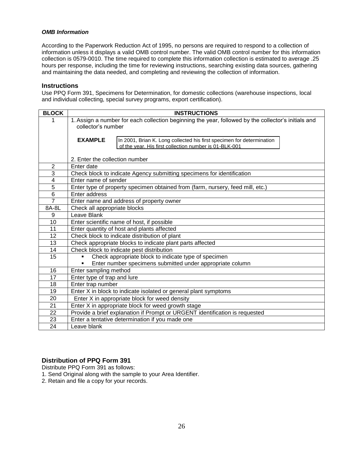#### *OMB Information*

According to the Paperwork Reduction Act of 1995, no persons are required to respond to a collection of information unless it displays a valid OMB control number. The valid OMB control number for this information collection is 0579-0010. The time required to complete this information collection is estimated to average .25 hours per response, including the time for reviewing instructions, searching existing data sources, gathering and maintaining the data needed, and completing and reviewing the collection of information.

#### **Instructions**

Use PPQ Form 391, Specimens for Determination, for domestic collections (warehouse inspections, local and individual collecting, special survey programs, export certification).

| <b>BLOCK</b>          | <b>INSTRUCTIONS</b>                                                                                 |  |  |  |  |
|-----------------------|-----------------------------------------------------------------------------------------------------|--|--|--|--|
|                       | 1. Assign a number for each collection beginning the year, followed by the collector's initials and |  |  |  |  |
|                       | collector's number                                                                                  |  |  |  |  |
|                       |                                                                                                     |  |  |  |  |
|                       | <b>EXAMPLE</b><br>In 2001, Brian K. Long collected his first specimen for determination             |  |  |  |  |
|                       | of the year. His first collection number is 01-BLK-001                                              |  |  |  |  |
|                       | 2. Enter the collection number                                                                      |  |  |  |  |
| $\overline{2}$        | Enter date                                                                                          |  |  |  |  |
| $\overline{3}$        | Check block to indicate Agency submitting specimens for identification                              |  |  |  |  |
| $\overline{4}$        | Enter name of sender                                                                                |  |  |  |  |
| $\overline{5}$        | Enter type of property specimen obtained from (farm, nursery, feed mill, etc.)                      |  |  |  |  |
| $\overline{6}$        | Enter address                                                                                       |  |  |  |  |
| $\overline{7}$        | Enter name and address of property owner                                                            |  |  |  |  |
| 8A-8L                 | Check all appropriate blocks                                                                        |  |  |  |  |
| 9                     | Leave Blank                                                                                         |  |  |  |  |
| 10                    | Enter scientific name of host, if possible                                                          |  |  |  |  |
| 11                    | Enter quantity of host and plants affected                                                          |  |  |  |  |
| 12                    | Check block to indicate distribution of plant                                                       |  |  |  |  |
| 13                    | Check appropriate blocks to indicate plant parts affected                                           |  |  |  |  |
| 14                    | Check block to indicate pest distribution                                                           |  |  |  |  |
| 15                    | Check appropriate block to indicate type of specimen<br>٠                                           |  |  |  |  |
|                       | Enter number specimens submitted under appropriate column<br>٠                                      |  |  |  |  |
| 16<br>$\overline{17}$ | Enter sampling method                                                                               |  |  |  |  |
|                       | Enter type of trap and lure                                                                         |  |  |  |  |
| 18<br>19              | Enter trap number                                                                                   |  |  |  |  |
| 20                    | Enter X in block to indicate isolated or general plant symptoms                                     |  |  |  |  |
|                       | Enter X in appropriate block for weed density                                                       |  |  |  |  |
| 21                    | Enter X in appropriate block for weed growth stage                                                  |  |  |  |  |
| 22                    | Provide a brief explanation if Prompt or URGENT identification is requested                         |  |  |  |  |
| 23<br>24              | Enter a tentative determination if you made one                                                     |  |  |  |  |
|                       | Leave blank                                                                                         |  |  |  |  |

## **Distribution of PPQ Form 391**

Distribute PPQ Form 391 as follows:

- 1. Send Original along with the sample to your Area Identifier.
- 2. Retain and file a copy for your records.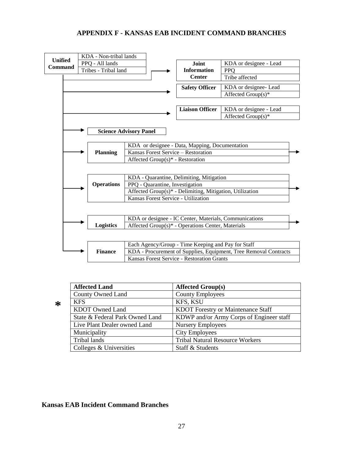# **APPENDIX F - KANSAS EAB INCIDENT COMMAND BRANCHES**

| <b>Unified</b> |                                                    | KDA - Non-tribal lands |                                                          |                        |                                                                  |  |  |
|----------------|----------------------------------------------------|------------------------|----------------------------------------------------------|------------------------|------------------------------------------------------------------|--|--|
| <b>Command</b> |                                                    | PPQ - All lands        |                                                          | Joint                  | KDA or designee - Lead                                           |  |  |
|                |                                                    | Tribes - Tribal land   |                                                          | <b>Information</b>     | <b>PPO</b>                                                       |  |  |
|                |                                                    |                        |                                                          | <b>Center</b>          | Tribe affected                                                   |  |  |
|                |                                                    |                        |                                                          | <b>Safety Officer</b>  | KDA or designee- Lead                                            |  |  |
|                |                                                    |                        |                                                          |                        | Affected Group(s)*                                               |  |  |
|                |                                                    |                        |                                                          |                        |                                                                  |  |  |
|                |                                                    |                        |                                                          | <b>Liaison Officer</b> | KDA or designee - Lead                                           |  |  |
|                |                                                    |                        |                                                          |                        | Affected Group(s)*                                               |  |  |
|                |                                                    |                        |                                                          |                        |                                                                  |  |  |
|                |                                                    |                        | <b>Science Advisory Panel</b>                            |                        |                                                                  |  |  |
|                |                                                    |                        | KDA or designee - Data, Mapping, Documentation           |                        |                                                                  |  |  |
|                |                                                    | <b>Planning</b>        | Kansas Forest Service - Restoration                      |                        |                                                                  |  |  |
|                |                                                    |                        | Affected Group(s)* - Restoration                         |                        |                                                                  |  |  |
|                |                                                    |                        |                                                          |                        |                                                                  |  |  |
|                |                                                    |                        | KDA - Quarantine, Delimiting, Mitigation                 |                        |                                                                  |  |  |
|                |                                                    | <b>Operations</b>      | PPQ - Quarantine, Investigation                          |                        |                                                                  |  |  |
|                |                                                    |                        | Affected Group(s)* - Delimiting, Mitigation, Utilization |                        |                                                                  |  |  |
|                |                                                    |                        | Kansas Forest Service - Utilization                      |                        |                                                                  |  |  |
|                |                                                    |                        |                                                          |                        |                                                                  |  |  |
|                |                                                    |                        | KDA or designee - IC Center, Materials, Communications   |                        |                                                                  |  |  |
|                |                                                    | <b>Logistics</b>       | Affected Group(s)* - Operations Center, Materials        |                        |                                                                  |  |  |
|                |                                                    |                        |                                                          |                        |                                                                  |  |  |
|                | Each Agency/Group - Time Keeping and Pay for Staff |                        |                                                          |                        |                                                                  |  |  |
|                |                                                    | <b>Finance</b>         |                                                          |                        | KDA - Procurement of Supplies, Equipment, Tree Removal Contracts |  |  |
|                |                                                    |                        | Kansas Forest Service - Restoration Grants               |                        |                                                                  |  |  |

**\*** 

| <b>Affected Land</b>            | <b>Affected Group(s)</b>                  |
|---------------------------------|-------------------------------------------|
| County Owned Land               | <b>County Employees</b>                   |
| <b>KFS</b>                      | KFS, KSU                                  |
| KDOT Owned Land                 | <b>KDOT</b> Forestry or Maintenance Staff |
| State & Federal Park Owned Land | KDWP and/or Army Corps of Engineer staff  |
| Live Plant Dealer owned Land    | <b>Nursery Employees</b>                  |
| Municipality                    | <b>City Employees</b>                     |
| Tribal lands                    | <b>Tribal Natural Resource Workers</b>    |
| Colleges & Universities         | Staff & Students                          |

## **Kansas EAB Incident Command Branches**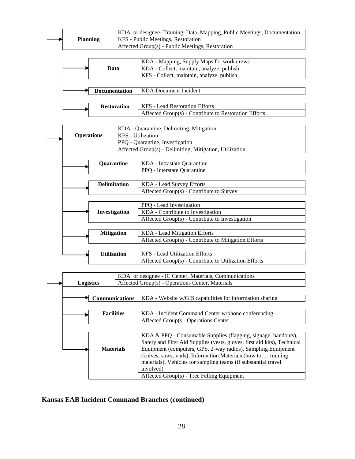

#### **Kansas EAB Incident Command Branches (continued)**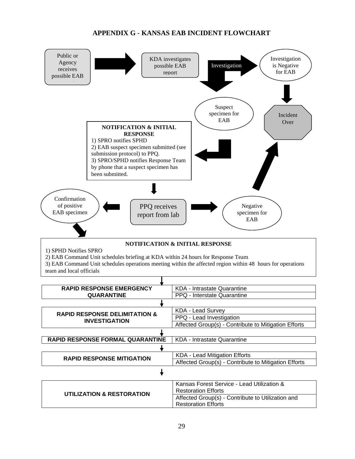# **APPENDIX G - KANSAS EAB INCIDENT FLOWCHART**

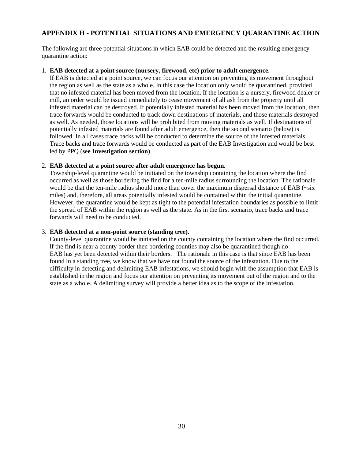## **APPENDIX H - POTENTIAL SITUATIONS AND EMERGENCY QUARANTINE ACTION**

The following are three potential situations in which EAB could be detected and the resulting emergency quarantine action:

#### 1. **EAB detected at a point source (nursery, firewood, etc) prior to adult emergence.**

If EAB is detected at a point source, we can focus our attention on preventing its movement throughout the region as well as the state as a whole. In this case the location only would be quarantined, provided that no infested material has been moved from the location. If the location is a nursery, firewood dealer or mill, an order would be issued immediately to cease movement of all ash from the property until all infested material can be destroyed. If potentially infested material has been moved from the location, then trace forwards would be conducted to track down destinations of materials, and those materials destroyed as well. As needed, those locations will be prohibited from moving materials as well. If destinations of potentially infested materials are found after adult emergence, then the second scenario (below) is followed. In all cases trace backs will be conducted to determine the source of the infested materials. Trace backs and trace forwards would be conducted as part of the EAB Investigation and would be best led by PPQ (**see Investigation section**).

#### 2. **EAB detected at a point source after adult emergence has begun.**

Township-level quarantine would be initiated on the township containing the location where the find occurred as well as those bordering the find for a ten-mile radius surrounding the location. The rationale would be that the ten-mile radius should more than cover the maximum dispersal distance of EAB ( $\sim$ six miles) and, therefore, all areas potentially infested would be contained within the initial quarantine. However, the quarantine would be kept as tight to the potential infestation boundaries as possible to limit the spread of EAB within the region as well as the state. As in the first scenario, trace backs and trace forwards will need to be conducted.

#### 3. **EAB detected at a non-point source (standing tree).**

County-level quarantine would be initiated on the county containing the location where the find occurred. If the find is near a county border then bordering counties may also be quarantined though no EAB has yet been detected within their borders. The rationale in this case is that since EAB has been found in a standing tree, we know that we have not found the source of the infestation. Due to the difficulty in detecting and delimiting EAB infestations, we should begin with the assumption that EAB is established in the region and focus our attention on preventing its movement out of the region and to the state as a whole. A delimiting survey will provide a better idea as to the scope of the infestation.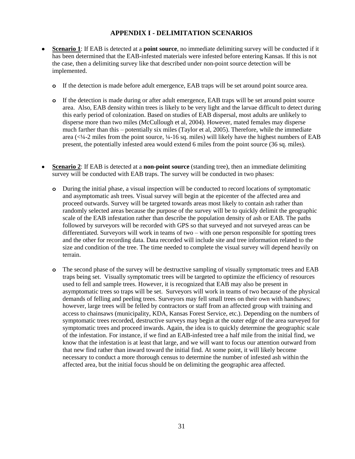## **APPENDIX I - DELIMITATION SCENARIOS**

- **Scenario 1**: If EAB is detected at a **point source**, no immediate delimiting survey will be conducted if it has been determined that the EAB-infested materials were infested before entering Kansas. If this is not the case, then a delimiting survey like that described under non-point source detection will be implemented.
	- **o** If the detection is made before adult emergence, EAB traps will be set around point source area.
	- **o** If the detection is made during or after adult emergence, EAB traps will be set around point source area. Also, EAB density within trees is likely to be very light and the larvae difficult to detect during this early period of colonization. Based on studies of EAB dispersal, most adults are unlikely to disperse more than two miles (McCullough et al, 2004). However, mated females may disperse much farther than this – potentially six miles (Taylor et al, 2005). Therefore, while the immediate area (<¼-2 miles from the point source, ¼-16 sq. miles) will likely have the highest numbers of EAB present, the potentially infested area would extend 6 miles from the point source (36 sq. miles).
- **Scenario 2**: If EAB is detected at a **non-point source** (standing tree), then an immediate delimiting survey will be conducted with EAB traps. The survey will be conducted in two phases:
	- **o** During the initial phase, a visual inspection will be conducted to record locations of symptomatic and asymptomatic ash trees. Visual survey will begin at the epicenter of the affected area and proceed outwards. Survey will be targeted towards areas most likely to contain ash rather than randomly selected areas because the purpose of the survey will be to quickly delimit the geographic scale of the EAB infestation rather than describe the population density of ash or EAB. The paths followed by surveyors will be recorded with GPS so that surveyed and not surveyed areas can be differentiated. Surveyors will work in teams of two – with one person responsible for spotting trees and the other for recording data. Data recorded will include site and tree information related to the size and condition of the tree. The time needed to complete the visual survey will depend heavily on terrain.
	- **o** The second phase of the survey will be destructive sampling of visually symptomatic trees and EAB traps being set. Visually symptomatic trees will be targeted to optimize the efficiency of resources used to fell and sample trees. However, it is recognized that EAB may also be present in asymptomatic trees so traps will be set. Surveyors will work in teams of two because of the physical demands of felling and peeling trees. Surveyors may fell small trees on their own with handsaws; however, large trees will be felled by contractors or staff from an affected group with training and access to chainsaws (municipality, KDA, Kansas Forest Service, etc.). Depending on the numbers of symptomatic trees recorded, destructive surveys may begin at the outer edge of the area surveyed for symptomatic trees and proceed inwards. Again, the idea is to quickly determine the geographic scale of the infestation. For instance, if we find an EAB-infested tree a half mile from the initial find, we know that the infestation is at least that large, and we will want to focus our attention outward from that new find rather than inward toward the initial find. At some point, it will likely become necessary to conduct a more thorough census to determine the number of infested ash within the affected area, but the initial focus should be on delimiting the geographic area affected.